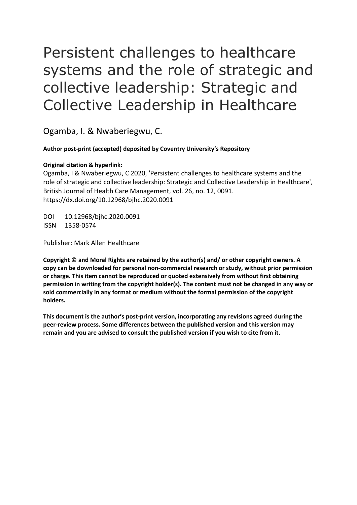# Persistent challenges to healthcare systems and the role of strategic and collective leadership: Strategic and Collective Leadership in Healthcare

Ogamba, I. & Nwaberiegwu, C.

## **Author post-print (accepted) deposited by Coventry University's Repository**

## **Original citation & hyperlink:**

 Ogamba, I & Nwaberiegwu, C 2020, 'Persistent challenges to healthcare systems and the role of strategic and collective leadership: Strategic and Collective Leadership in Healthcare', British Journal of Health Care Management, vol. 26, no. 12, 0091. https://dx.doi.org/10.12968/bjhc.2020.0091

DOI 10.12968/bjhc.2020.0091 ISSN 1358-0574

Publisher: Mark Allen Healthcare

 **permission in writing from the copyright holder(s). The content must not be changed in any way or Copyright © and Moral Rights are retained by the author(s) and/ or other copyright owners. A copy can be downloaded for personal non-commercial research or study, without prior permission or charge. This item cannot be reproduced or quoted extensively from without first obtaining sold commercially in any format or medium without the formal permission of the copyright holders.** 

**This document is the author's post-print version, incorporating any revisions agreed during the peer-review process. Some differences between the published version and this version may remain and you are advised to consult the published version if you wish to cite from it.**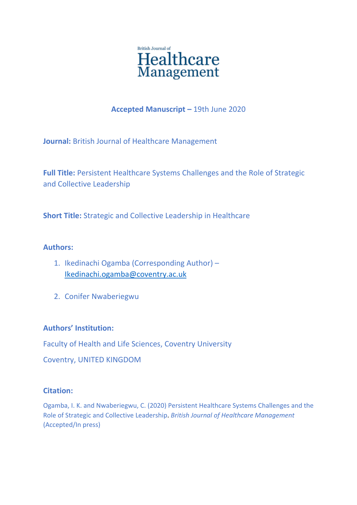

# **Accepted Manuscript –** 19th June 2020

**Journal:** British Journal of Healthcare Management

**Full Title:** Persistent Healthcare Systems Challenges and the Role of Strategic and Collective Leadership

**Short Title:** Strategic and Collective Leadership in Healthcare

# **Authors:**

- 1. Ikedinachi Ogamba (Corresponding Author) [Ikedinachi.ogamba@coventry.ac.uk](mailto:Ikedinachi.ogamba@coventry.ac.uk)
- 2. Conifer Nwaberiegwu

# **Authors' Institution:**

Faculty of Health and Life Sciences, Coventry University

Coventry, UNITED KINGDOM

## **Citation:**

Ogamba, I. K. and Nwaberiegwu, C. (2020) Persistent Healthcare Systems Challenges and the Role of Strategic and Collective Leadership. *British Journal of Healthcare Management*  (Accepted/In press)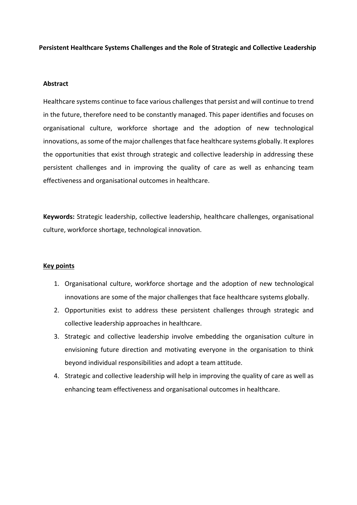**Persistent Healthcare Systems Challenges and the Role of Strategic and Collective Leadership** 

#### **Abstract**

 Healthcare systems continue to face various challenges that persist and will continue to trend organisational culture, workforce shortage and the adoption of new technological in the future, therefore need to be constantly managed. This paper identifies and focuses on innovations, as some of the major challenges that face healthcare systems globally. It explores the opportunities that exist through strategic and collective leadership in addressing these persistent challenges and in improving the quality of care as well as enhancing team effectiveness and organisational outcomes in healthcare.

**Keywords:** Strategic leadership, collective leadership, healthcare challenges, organisational culture, workforce shortage, technological innovation.

#### **Key points**

- 1. Organisational culture, workforce shortage and the adoption of new technological innovations are some of the major challenges that face healthcare systems globally.
- 2. Opportunities exist to address these persistent challenges through strategic and collective leadership approaches in healthcare.
- 3. Strategic and collective leadership involve embedding the organisation culture in envisioning future direction and motivating everyone in the organisation to think beyond individual responsibilities and adopt a team attitude.
- 4. Strategic and collective leadership will help in improving the quality of care as well as enhancing team effectiveness and organisational outcomes in healthcare.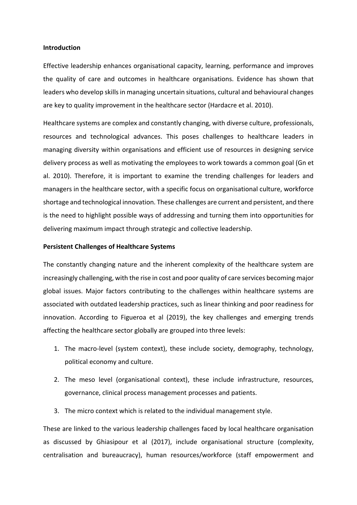#### **Introduction**

 the quality of care and outcomes in healthcare organisations. Evidence has shown that Effective leadership enhances organisational capacity, learning, performance and improves leaders who develop skills in managing uncertain situations, cultural and behavioural changes are key to quality improvement in the healthcare sector (Hardacre et al. 2010).

 al. 2010). Therefore, it is important to examine the trending challenges for leaders and shortage and technological innovation. These challenges are current and persistent, and there Healthcare systems are complex and constantly changing, with diverse culture, professionals, resources and technological advances. This poses challenges to healthcare leaders in managing diversity within organisations and efficient use of resources in designing service delivery process as well as motivating the employees to work towards a common goal (Gn et managers in the healthcare sector, with a specific focus on organisational culture, workforce is the need to highlight possible ways of addressing and turning them into opportunities for delivering maximum impact through strategic and collective leadership.

#### **Persistent Challenges of Healthcare Systems**

 The constantly changing nature and the inherent complexity of the healthcare system are increasingly challenging, with the rise in cost and poor quality of care services becoming major global issues. Major factors contributing to the challenges within healthcare systems are associated with outdated leadership practices, such as linear thinking and poor readiness for innovation. According to Figueroa et al (2019), the key challenges and emerging trends affecting the healthcare sector globally are grouped into three levels:

- 1. The macro-level (system context), these include society, demography, technology, political economy and culture.
- 2. The meso level (organisational context), these include infrastructure, resources, governance, clinical process management processes and patients.
- 3. The micro context which is related to the individual management style.

 as discussed by Ghiasipour et al (2017), include organisational structure (complexity, These are linked to the various leadership challenges faced by local healthcare organisation centralisation and bureaucracy), human resources/workforce (staff empowerment and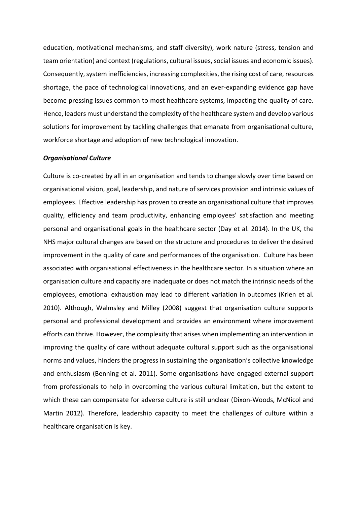become pressing issues common to most healthcare systems, impacting the quality of care. solutions for improvement by tackling challenges that emanate from organisational culture, education, motivational mechanisms, and staff diversity), work nature (stress, tension and team orientation) and context (regulations, cultural issues, social issues and economic issues). Consequently, system inefficiencies, increasing complexities, the rising cost of care, resources shortage, the pace of technological innovations, and an ever-expanding evidence gap have Hence, leaders must understand the complexity of the healthcare system and develop various workforce shortage and adoption of new technological innovation.

#### *Organisational Culture*

 employees. Effective leadership has proven to create an organisational culture that improves quality, efficiency and team productivity, enhancing employees' satisfaction and meeting personal and organisational goals in the healthcare sector (Day et al. 2014). In the UK, the improvement in the quality of care and performances of the organisation. Culture has been organisation culture and capacity are inadequate or does not match the intrinsic needs of the 2010). Although, Walmsley and Milley (2008) suggest that organisation culture supports and enthusiasm (Benning et al. 2011). Some organisations have engaged external support Culture is co-created by all in an organisation and tends to change slowly over time based on organisational vision, goal, leadership, and nature of services provision and intrinsic values of NHS major cultural changes are based on the structure and procedures to deliver the desired associated with organisational effectiveness in the healthcare sector. In a situation where an employees, emotional exhaustion may lead to different variation in outcomes (Krien et al. personal and professional development and provides an environment where improvement efforts can thrive. However, the complexity that arises when implementing an intervention in improving the quality of care without adequate cultural support such as the organisational norms and values, hinders the progress in sustaining the organisation's collective knowledge from professionals to help in overcoming the various cultural limitation, but the extent to which these can compensate for adverse culture is still unclear (Dixon-Woods, McNicol and Martin 2012). Therefore, leadership capacity to meet the challenges of culture within a healthcare organisation is key.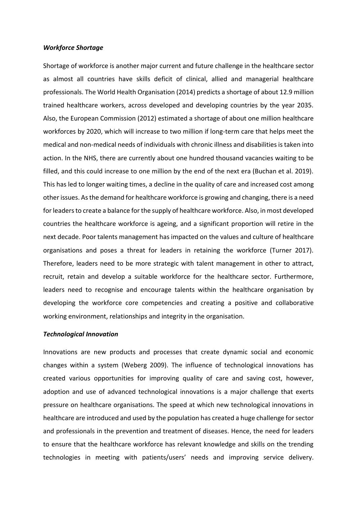#### *Workforce Shortage*

 Shortage of workforce is another major current and future challenge in the healthcare sector Also, the European Commission (2012) estimated a shortage of about one million healthcare medical and non-medical needs of individuals with chronic illness and disabilities is taken into filled, and this could increase to one million by the end of the next era (Buchan et al. 2019). other issues. As the demand for healthcare workforce is growing and changing, there is a need for leaders to create a balance for the supply of healthcare workforce. Also, in most developed organisations and poses a threat for leaders in retaining the workforce (Turner 2017). Therefore, leaders need to be more strategic with talent management in other to attract, as almost all countries have skills deficit of clinical, allied and managerial healthcare professionals. The World Health Organisation (2014) predicts a shortage of about 12.9 million trained healthcare workers, across developed and developing countries by the year 2035. workforces by 2020, which will increase to two million if long-term care that helps meet the action. In the NHS, there are currently about one hundred thousand vacancies waiting to be This has led to longer waiting times, a decline in the quality of care and increased cost among countries the healthcare workforce is ageing, and a significant proportion will retire in the next decade. Poor talents management has impacted on the values and culture of healthcare recruit, retain and develop a suitable workforce for the healthcare sector. Furthermore, leaders need to recognise and encourage talents within the healthcare organisation by developing the workforce core competencies and creating a positive and collaborative working environment, relationships and integrity in the organisation.

#### *Technological Innovation*

 changes within a system (Weberg 2009). The influence of technological innovations has created various opportunities for improving quality of care and saving cost, however, pressure on healthcare organisations. The speed at which new technological innovations in healthcare are introduced and used by the population has created a huge challenge for sector and professionals in the prevention and treatment of diseases. Hence, the need for leaders to ensure that the healthcare workforce has relevant knowledge and skills on the trending Innovations are new products and processes that create dynamic social and economic adoption and use of advanced technological innovations is a major challenge that exerts technologies in meeting with patients/users' needs and improving service delivery.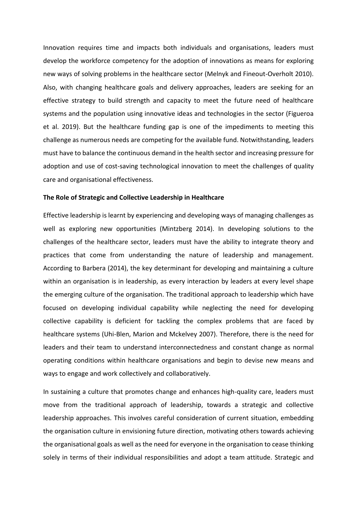new ways of solving problems in the healthcare sector (Melnyk and Fineout-Overholt 2010). Also, with changing healthcare goals and delivery approaches, leaders are seeking for an challenge as numerous needs are competing for the available fund. Notwithstanding, leaders Innovation requires time and impacts both individuals and organisations, leaders must develop the workforce competency for the adoption of innovations as means for exploring effective strategy to build strength and capacity to meet the future need of healthcare systems and the population using innovative ideas and technologies in the sector (Figueroa et al. 2019). But the healthcare funding gap is one of the impediments to meeting this must have to balance the continuous demand in the health sector and increasing pressure for adoption and use of cost-saving technological innovation to meet the challenges of quality care and organisational effectiveness.

#### **The Role of Strategic and Collective Leadership in Healthcare**

 well as exploring new opportunities (Mintzberg 2014). In developing solutions to the collective capability is deficient for tackling the complex problems that are faced by Effective leadership is learnt by experiencing and developing ways of managing challenges as challenges of the healthcare sector, leaders must have the ability to integrate theory and practices that come from understanding the nature of leadership and management. According to Barbera (2014), the key determinant for developing and maintaining a culture within an organisation is in leadership, as every interaction by leaders at every level shape the emerging culture of the organisation. The traditional approach to leadership which have focused on developing individual capability while neglecting the need for developing healthcare systems (Uhi-Blen, Marion and Mckelvey 2007). Therefore, there is the need for leaders and their team to understand interconnectedness and constant change as normal operating conditions within healthcare organisations and begin to devise new means and ways to engage and work collectively and collaboratively.

 the organisation culture in envisioning future direction, motivating others towards achieving In sustaining a culture that promotes change and enhances high-quality care, leaders must move from the traditional approach of leadership, towards a strategic and collective leadership approaches. This involves careful consideration of current situation, embedding the organisational goals as well as the need for everyone in the organisation to cease thinking solely in terms of their individual responsibilities and adopt a team attitude. Strategic and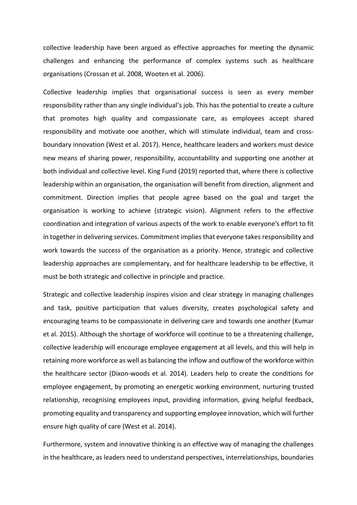collective leadership have been argued as effective approaches for meeting the dynamic challenges and enhancing the performance of complex systems such as healthcare organisations (Crossan et al. 2008, Wooten et al. 2006).

responsibility rather than any single individual's job. This has the potential to create a culture that promotes high quality and compassionate care, as employees accept shared new means of sharing power, responsibility, accountability and supporting one another at both individual and collective level. King Fund (2019) reported that, where there is collective organisation is working to achieve (strategic vision). Alignment refers to the effective leadership approaches are complementary, and for healthcare leadership to be effective, it Collective leadership implies that organisational success is seen as every member responsibility and motivate one another, which will stimulate individual, team and crossboundary innovation (West et al. 2017). Hence, healthcare leaders and workers must device leadership within an organisation, the organisation will benefit from direction, alignment and commitment. Direction implies that people agree based on the goal and target the coordination and integration of various aspects of the work to enable everyone's effort to fit in together in delivering services. Commitment implies that everyone takes responsibility and work towards the success of the organisation as a priority. Hence, strategic and collective must be both strategic and collective in principle and practice.

 encouraging teams to be compassionate in delivering care and towards one another (Kumar the healthcare sector (Dixon-woods et al. 2014). Leaders help to create the conditions for employee engagement, by promoting an energetic working environment, nurturing trusted Strategic and collective leadership inspires vision and clear strategy in managing challenges and task, positive participation that values diversity, creates psychological safety and et al. 2015). Although the shortage of workforce will continue to be a threatening challenge, collective leadership will encourage employee engagement at all levels, and this will help in retaining more workforce as well as balancing the inflow and outflow of the workforce within relationship, recognising employees input, providing information, giving helpful feedback, promoting equality and transparency and supporting employee innovation, which will further ensure high quality of care (West et al. 2014).

Furthermore, system and innovative thinking is an effective way of managing the challenges in the healthcare, as leaders need to understand perspectives, interrelationships, boundaries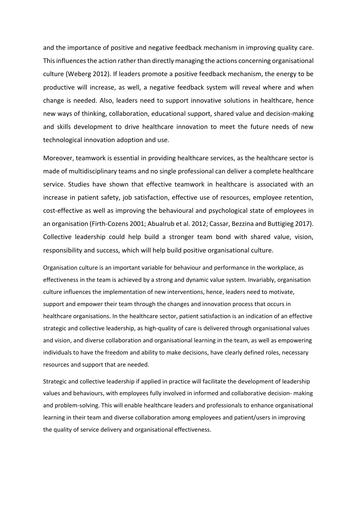and the importance of positive and negative feedback mechanism in improving quality care. and skills development to drive healthcare innovation to meet the future needs of new This influences the action rather than directly managing the actions concerning organisational culture (Weberg 2012). If leaders promote a positive feedback mechanism, the energy to be productive will increase, as well, a negative feedback system will reveal where and when change is needed. Also, leaders need to support innovative solutions in healthcare, hence new ways of thinking, collaboration, educational support, shared value and decision-making technological innovation adoption and use.

Moreover, teamwork is essential in providing healthcare services, as the healthcare sector is made of multidisciplinary teams and no single professional can deliver a complete healthcare service. Studies have shown that effective teamwork in healthcare is associated with an increase in patient safety, job satisfaction, effective use of resources, employee retention, cost-effective as well as improving the behavioural and psychological state of employees in an organisation (Firth-Cozens 2001; Abualrub et al. 2012; Cassar, Bezzina and Buttigieg 2017). Collective leadership could help build a stronger team bond with shared value, vision, responsibility and success, which will help build positive organisational culture.

Organisation culture is an important variable for behaviour and performance in the workplace, as effectiveness in the team is achieved by a strong and dynamic value system. Invariably, organisation culture influences the implementation of new interventions, hence, leaders need to motivate, support and empower their team through the changes and innovation process that occurs in healthcare organisations. In the healthcare sector, patient satisfaction is an indication of an effective strategic and collective leadership, as high-quality of care is delivered through organisational values and vision, and diverse collaboration and organisational learning in the team, as well as empowering individuals to have the freedom and ability to make decisions, have clearly defined roles, necessary resources and support that are needed.

Strategic and collective leadership if applied in practice will facilitate the development of leadership values and behaviours, with employees fully involved in informed and collaborative decision- making and problem-solving. This will enable healthcare leaders and professionals to enhance organisational learning in their team and diverse collaboration among employees and patient/users in improving the quality of service delivery and organisational effectiveness.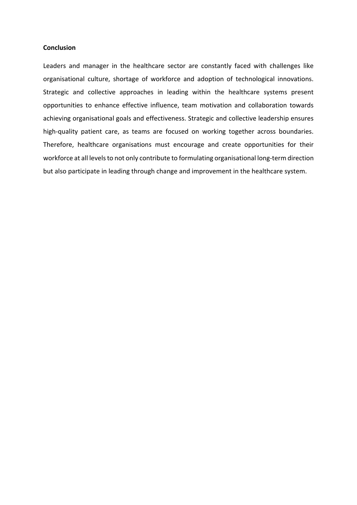#### **Conclusion**

 Leaders and manager in the healthcare sector are constantly faced with challenges like opportunities to enhance effective influence, team motivation and collaboration towards high-quality patient care, as teams are focused on working together across boundaries. high-quality patient care, as teams are focused on working together across boundaries.<br>Therefore, healthcare organisations must encourage and create opportunities for their workforce at all levels to not only contribute to formulating organisational long-term direction organisational culture, shortage of workforce and adoption of technological innovations. Strategic and collective approaches in leading within the healthcare systems present achieving organisational goals and effectiveness. Strategic and collective leadership ensures but also participate in leading through change and improvement in the healthcare system.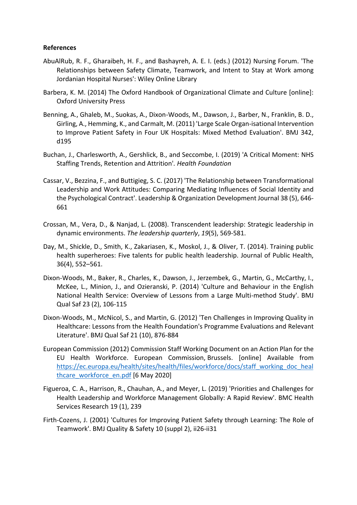### **References**

- AbuAlRub, R. F., Gharaibeh, H. F., and Bashayreh, A. E. I. (eds.) (2012) Nursing Forum. 'The Relationships between Safety Climate, Teamwork, and Intent to Stay at Work among Jordanian Hospital Nurses': Wiley Online Library
- Barbera, K. M. (2014) The Oxford Handbook of Organizational Climate and Culture [online]: Oxford University Press
- Girling, A., Hemming, K., and Carmalt, M. (2011) 'Large Scale Organ-isational Intervention to Improve Patient Safety in Four UK Hospitals: Mixed Method Evaluation'. BMJ 342, Benning, A., Ghaleb, M., Suokas, A., Dixon-Woods, M., Dawson, J., Barber, N., Franklin, B. D., d195
- Buchan, J., Charlesworth, A., Gershlick, B., and Seccombe, I. (2019) 'A Critical Moment: NHS Staffing Trends, Retention and Attrition'*. Health Foundation*
- Cassar, V., Bezzina, F., and Buttigieg, S. C. (2017) 'The Relationship between Transformational Leadership and Work Attitudes: Comparing Mediating Influences of Social Identity and the Psychological Contract'. Leadership & Organization Development Journal 38 (5), 646- 661
- Crossan, M., Vera, D., & Nanjad, L. (2008). Transcendent leadership: Strategic leadership in dynamic environments. *The leadership quarterly*, *19*(5), 569-581.
- Day, M., Shickle, D., Smith, K., Zakariasen, K., Moskol, J., & Oliver, T. (2014). Training public health superheroes: Five talents for public health leadership. Journal of Public Health, 36(4), 552–561.
- National Health Service: Overview of Lessons from a Large Multi-method Study'. BMJ Dixon-Woods, M., Baker, R., Charles, K., Dawson, J., Jerzembek, G., Martin, G., McCarthy, I., McKee, L., Minion, J., and Ozieranski, P. (2014) 'Culture and Behaviour in the English Qual Saf 23 (2), 106-115
- Dixon-Woods, M., McNicol, S., and Martin, G. (2012) 'Ten Challenges in Improving Quality in Healthcare: Lessons from the Health Foundation's Programme Evaluations and Relevant Literature'. BMJ Qual Saf 21 (10), 876-884
- EU Health Workforce. European Commission, Brussels. [online] Available from European Commission (2012) Commission Staff Working Document on an Action Plan for the https://ec.europa.eu/health/sites/health/files/workforce/docs/staff\_working\_doc\_heal thcare workforce en.pdf [6 May 2020]
- Health Leadership and Workforce Management Globally: A Rapid Review'. BMC Health Figueroa, C. A., Harrison, R., Chauhan, A., and Meyer, L. (2019) 'Priorities and Challenges for Services Research 19 (1), 239
- Firth-Cozens, J. (2001) 'Cultures for Improving Patient Safety through Learning: The Role of Teamwork'. BMJ Quality & Safety 10 (suppl 2), ii26-ii31